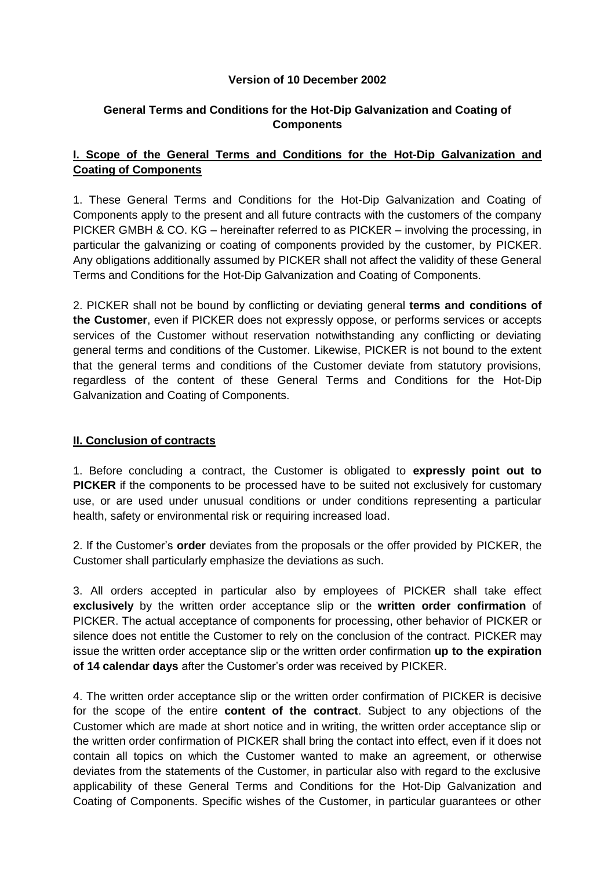## **Version of 10 December 2002**

# **General Terms and Conditions for the Hot-Dip Galvanization and Coating of Components**

# **I. Scope of the General Terms and Conditions for the Hot-Dip Galvanization and Coating of Components**

1. These General Terms and Conditions for the Hot-Dip Galvanization and Coating of Components apply to the present and all future contracts with the customers of the company PICKER GMBH & CO. KG – hereinafter referred to as PICKER – involving the processing, in particular the galvanizing or coating of components provided by the customer, by PICKER. Any obligations additionally assumed by PICKER shall not affect the validity of these General Terms and Conditions for the Hot-Dip Galvanization and Coating of Components.

2. PICKER shall not be bound by conflicting or deviating general **terms and conditions of the Customer**, even if PICKER does not expressly oppose, or performs services or accepts services of the Customer without reservation notwithstanding any conflicting or deviating general terms and conditions of the Customer. Likewise, PICKER is not bound to the extent that the general terms and conditions of the Customer deviate from statutory provisions, regardless of the content of these General Terms and Conditions for the Hot-Dip Galvanization and Coating of Components.

### **II. Conclusion of contracts**

1. Before concluding a contract, the Customer is obligated to **expressly point out to PICKER** if the components to be processed have to be suited not exclusively for customary use, or are used under unusual conditions or under conditions representing a particular health, safety or environmental risk or requiring increased load.

2. If the Customer's **order** deviates from the proposals or the offer provided by PICKER, the Customer shall particularly emphasize the deviations as such.

3. All orders accepted in particular also by employees of PICKER shall take effect **exclusively** by the written order acceptance slip or the **written order confirmation** of PICKER. The actual acceptance of components for processing, other behavior of PICKER or silence does not entitle the Customer to rely on the conclusion of the contract. PICKER may issue the written order acceptance slip or the written order confirmation **up to the expiration of 14 calendar days** after the Customer's order was received by PICKER.

4. The written order acceptance slip or the written order confirmation of PICKER is decisive for the scope of the entire **content of the contract**. Subject to any objections of the Customer which are made at short notice and in writing, the written order acceptance slip or the written order confirmation of PICKER shall bring the contact into effect, even if it does not contain all topics on which the Customer wanted to make an agreement, or otherwise deviates from the statements of the Customer, in particular also with regard to the exclusive applicability of these General Terms and Conditions for the Hot-Dip Galvanization and Coating of Components. Specific wishes of the Customer, in particular guarantees or other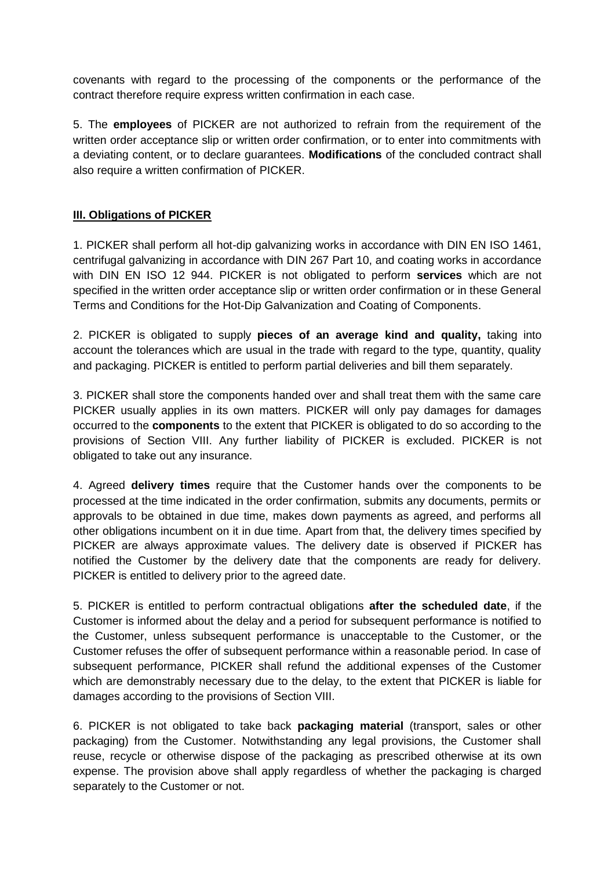covenants with regard to the processing of the components or the performance of the contract therefore require express written confirmation in each case.

5. The **employees** of PICKER are not authorized to refrain from the requirement of the written order acceptance slip or written order confirmation, or to enter into commitments with a deviating content, or to declare guarantees. **Modifications** of the concluded contract shall also require a written confirmation of PICKER.

# **III. Obligations of PICKER**

1. PICKER shall perform all hot-dip galvanizing works in accordance with DIN EN ISO 1461, centrifugal galvanizing in accordance with DIN 267 Part 10, and coating works in accordance with DIN EN ISO 12 944. PICKER is not obligated to perform **services** which are not specified in the written order acceptance slip or written order confirmation or in these General Terms and Conditions for the Hot-Dip Galvanization and Coating of Components.

2. PICKER is obligated to supply **pieces of an average kind and quality,** taking into account the tolerances which are usual in the trade with regard to the type, quantity, quality and packaging. PICKER is entitled to perform partial deliveries and bill them separately.

3. PICKER shall store the components handed over and shall treat them with the same care PICKER usually applies in its own matters. PICKER will only pay damages for damages occurred to the **components** to the extent that PICKER is obligated to do so according to the provisions of Section VIII. Any further liability of PICKER is excluded. PICKER is not obligated to take out any insurance.

4. Agreed **delivery times** require that the Customer hands over the components to be processed at the time indicated in the order confirmation, submits any documents, permits or approvals to be obtained in due time, makes down payments as agreed, and performs all other obligations incumbent on it in due time. Apart from that, the delivery times specified by PICKER are always approximate values. The delivery date is observed if PICKER has notified the Customer by the delivery date that the components are ready for delivery. PICKER is entitled to delivery prior to the agreed date.

5. PICKER is entitled to perform contractual obligations **after the scheduled date**, if the Customer is informed about the delay and a period for subsequent performance is notified to the Customer, unless subsequent performance is unacceptable to the Customer, or the Customer refuses the offer of subsequent performance within a reasonable period. In case of subsequent performance, PICKER shall refund the additional expenses of the Customer which are demonstrably necessary due to the delay, to the extent that PICKER is liable for damages according to the provisions of Section VIII.

6. PICKER is not obligated to take back **packaging material** (transport, sales or other packaging) from the Customer. Notwithstanding any legal provisions, the Customer shall reuse, recycle or otherwise dispose of the packaging as prescribed otherwise at its own expense. The provision above shall apply regardless of whether the packaging is charged separately to the Customer or not.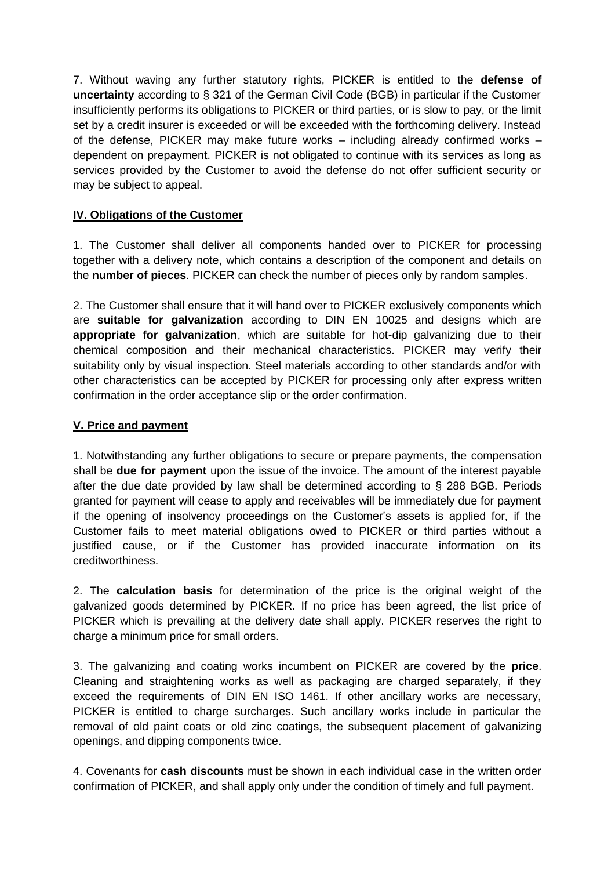7. Without waving any further statutory rights, PICKER is entitled to the **defense of uncertainty** according to § 321 of the German Civil Code (BGB) in particular if the Customer insufficiently performs its obligations to PICKER or third parties, or is slow to pay, or the limit set by a credit insurer is exceeded or will be exceeded with the forthcoming delivery. Instead of the defense, PICKER may make future works – including already confirmed works – dependent on prepayment. PICKER is not obligated to continue with its services as long as services provided by the Customer to avoid the defense do not offer sufficient security or may be subject to appeal.

# **IV. Obligations of the Customer**

1. The Customer shall deliver all components handed over to PICKER for processing together with a delivery note, which contains a description of the component and details on the **number of pieces**. PICKER can check the number of pieces only by random samples.

2. The Customer shall ensure that it will hand over to PICKER exclusively components which are **suitable for galvanization** according to DIN EN 10025 and designs which are **appropriate for galvanization**, which are suitable for hot-dip galvanizing due to their chemical composition and their mechanical characteristics. PICKER may verify their suitability only by visual inspection. Steel materials according to other standards and/or with other characteristics can be accepted by PICKER for processing only after express written confirmation in the order acceptance slip or the order confirmation.

### **V. Price and payment**

1. Notwithstanding any further obligations to secure or prepare payments, the compensation shall be **due for payment** upon the issue of the invoice. The amount of the interest payable after the due date provided by law shall be determined according to § 288 BGB. Periods granted for payment will cease to apply and receivables will be immediately due for payment if the opening of insolvency proceedings on the Customer's assets is applied for, if the Customer fails to meet material obligations owed to PICKER or third parties without a justified cause, or if the Customer has provided inaccurate information on its creditworthiness.

2. The **calculation basis** for determination of the price is the original weight of the galvanized goods determined by PICKER. If no price has been agreed, the list price of PICKER which is prevailing at the delivery date shall apply. PICKER reserves the right to charge a minimum price for small orders.

3. The galvanizing and coating works incumbent on PICKER are covered by the **price**. Cleaning and straightening works as well as packaging are charged separately, if they exceed the requirements of DIN EN ISO 1461. If other ancillary works are necessary, PICKER is entitled to charge surcharges. Such ancillary works include in particular the removal of old paint coats or old zinc coatings, the subsequent placement of galvanizing openings, and dipping components twice.

4. Covenants for **cash discounts** must be shown in each individual case in the written order confirmation of PICKER, and shall apply only under the condition of timely and full payment.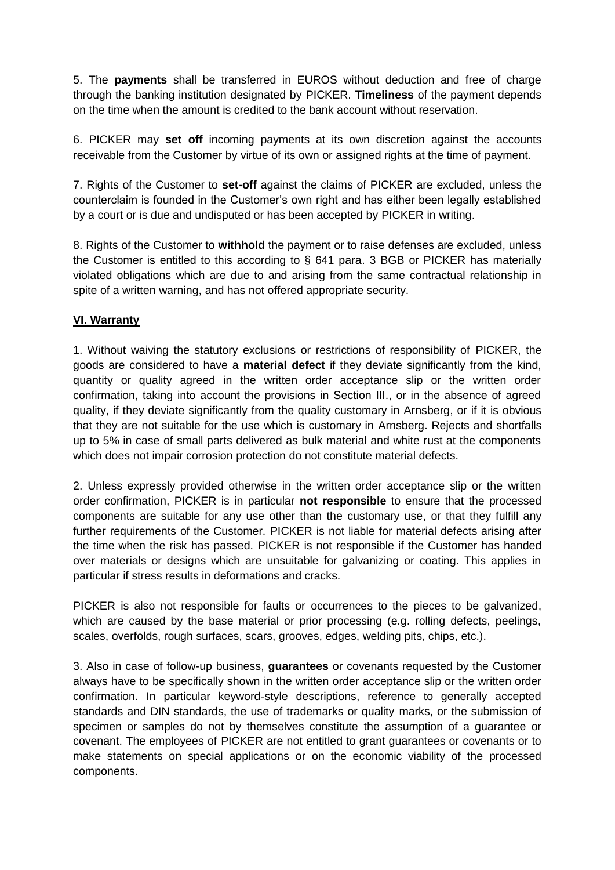5. The **payments** shall be transferred in EUROS without deduction and free of charge through the banking institution designated by PICKER. **Timeliness** of the payment depends on the time when the amount is credited to the bank account without reservation.

6. PICKER may **set off** incoming payments at its own discretion against the accounts receivable from the Customer by virtue of its own or assigned rights at the time of payment.

7. Rights of the Customer to **set-off** against the claims of PICKER are excluded, unless the counterclaim is founded in the Customer's own right and has either been legally established by a court or is due and undisputed or has been accepted by PICKER in writing.

8. Rights of the Customer to **withhold** the payment or to raise defenses are excluded, unless the Customer is entitled to this according to § 641 para. 3 BGB or PICKER has materially violated obligations which are due to and arising from the same contractual relationship in spite of a written warning, and has not offered appropriate security.

# **VI. Warranty**

1. Without waiving the statutory exclusions or restrictions of responsibility of PICKER, the goods are considered to have a **material defect** if they deviate significantly from the kind, quantity or quality agreed in the written order acceptance slip or the written order confirmation, taking into account the provisions in Section III., or in the absence of agreed quality, if they deviate significantly from the quality customary in Arnsberg, or if it is obvious that they are not suitable for the use which is customary in Arnsberg. Rejects and shortfalls up to 5% in case of small parts delivered as bulk material and white rust at the components which does not impair corrosion protection do not constitute material defects.

2. Unless expressly provided otherwise in the written order acceptance slip or the written order confirmation, PICKER is in particular **not responsible** to ensure that the processed components are suitable for any use other than the customary use, or that they fulfill any further requirements of the Customer. PICKER is not liable for material defects arising after the time when the risk has passed. PICKER is not responsible if the Customer has handed over materials or designs which are unsuitable for galvanizing or coating. This applies in particular if stress results in deformations and cracks.

PICKER is also not responsible for faults or occurrences to the pieces to be galvanized, which are caused by the base material or prior processing (e.g. rolling defects, peelings, scales, overfolds, rough surfaces, scars, grooves, edges, welding pits, chips, etc.).

3. Also in case of follow-up business, **guarantees** or covenants requested by the Customer always have to be specifically shown in the written order acceptance slip or the written order confirmation. In particular keyword-style descriptions, reference to generally accepted standards and DIN standards, the use of trademarks or quality marks, or the submission of specimen or samples do not by themselves constitute the assumption of a guarantee or covenant. The employees of PICKER are not entitled to grant guarantees or covenants or to make statements on special applications or on the economic viability of the processed components.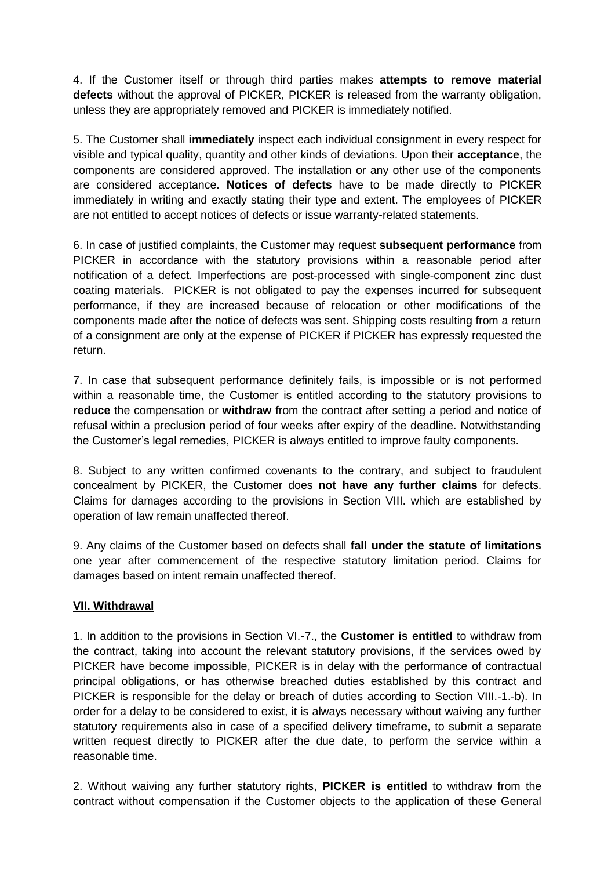4. If the Customer itself or through third parties makes **attempts to remove material defects** without the approval of PICKER, PICKER is released from the warranty obligation, unless they are appropriately removed and PICKER is immediately notified.

5. The Customer shall **immediately** inspect each individual consignment in every respect for visible and typical quality, quantity and other kinds of deviations. Upon their **acceptance**, the components are considered approved. The installation or any other use of the components are considered acceptance. **Notices of defects** have to be made directly to PICKER immediately in writing and exactly stating their type and extent. The employees of PICKER are not entitled to accept notices of defects or issue warranty-related statements.

6. In case of justified complaints, the Customer may request **subsequent performance** from PICKER in accordance with the statutory provisions within a reasonable period after notification of a defect. Imperfections are post-processed with single-component zinc dust coating materials. PICKER is not obligated to pay the expenses incurred for subsequent performance, if they are increased because of relocation or other modifications of the components made after the notice of defects was sent. Shipping costs resulting from a return of a consignment are only at the expense of PICKER if PICKER has expressly requested the return.

7. In case that subsequent performance definitely fails, is impossible or is not performed within a reasonable time, the Customer is entitled according to the statutory provisions to **reduce** the compensation or **withdraw** from the contract after setting a period and notice of refusal within a preclusion period of four weeks after expiry of the deadline. Notwithstanding the Customer's legal remedies, PICKER is always entitled to improve faulty components.

8. Subject to any written confirmed covenants to the contrary, and subject to fraudulent concealment by PICKER, the Customer does **not have any further claims** for defects. Claims for damages according to the provisions in Section VIII. which are established by operation of law remain unaffected thereof.

9. Any claims of the Customer based on defects shall **fall under the statute of limitations** one year after commencement of the respective statutory limitation period. Claims for damages based on intent remain unaffected thereof.

### **VII. Withdrawal**

1. In addition to the provisions in Section VI.-7., the **Customer is entitled** to withdraw from the contract, taking into account the relevant statutory provisions, if the services owed by PICKER have become impossible, PICKER is in delay with the performance of contractual principal obligations, or has otherwise breached duties established by this contract and PICKER is responsible for the delay or breach of duties according to Section VIII.-1.-b). In order for a delay to be considered to exist, it is always necessary without waiving any further statutory requirements also in case of a specified delivery timeframe, to submit a separate written request directly to PICKER after the due date, to perform the service within a reasonable time.

2. Without waiving any further statutory rights, **PICKER is entitled** to withdraw from the contract without compensation if the Customer objects to the application of these General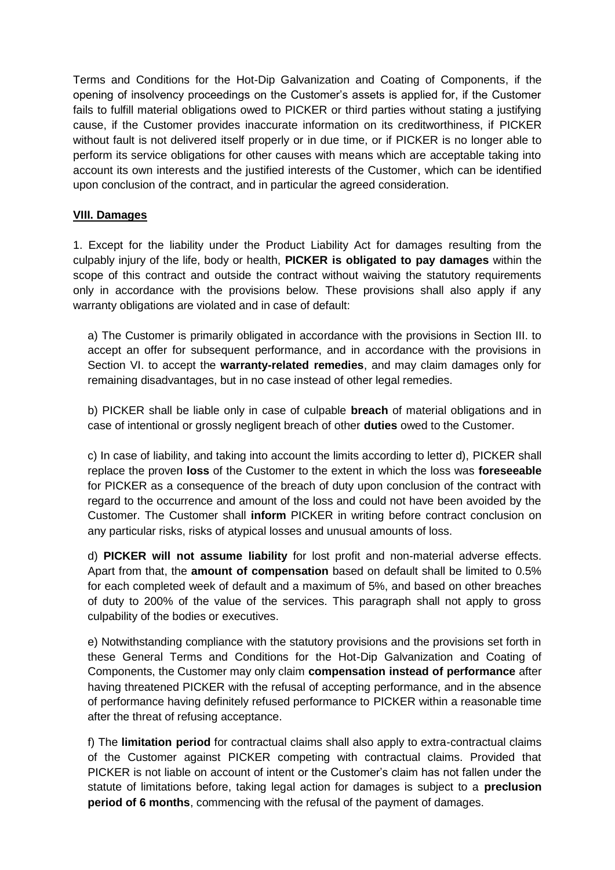Terms and Conditions for the Hot-Dip Galvanization and Coating of Components, if the opening of insolvency proceedings on the Customer's assets is applied for, if the Customer fails to fulfill material obligations owed to PICKER or third parties without stating a justifying cause, if the Customer provides inaccurate information on its creditworthiness, if PICKER without fault is not delivered itself properly or in due time, or if PICKER is no longer able to perform its service obligations for other causes with means which are acceptable taking into account its own interests and the justified interests of the Customer, which can be identified upon conclusion of the contract, and in particular the agreed consideration.

## **VIII. Damages**

1. Except for the liability under the Product Liability Act for damages resulting from the culpably injury of the life, body or health, **PICKER is obligated to pay damages** within the scope of this contract and outside the contract without waiving the statutory requirements only in accordance with the provisions below. These provisions shall also apply if any warranty obligations are violated and in case of default:

a) The Customer is primarily obligated in accordance with the provisions in Section III. to accept an offer for subsequent performance, and in accordance with the provisions in Section VI. to accept the **warranty-related remedies**, and may claim damages only for remaining disadvantages, but in no case instead of other legal remedies.

b) PICKER shall be liable only in case of culpable **breach** of material obligations and in case of intentional or grossly negligent breach of other **duties** owed to the Customer.

c) In case of liability, and taking into account the limits according to letter d), PICKER shall replace the proven **loss** of the Customer to the extent in which the loss was **foreseeable** for PICKER as a consequence of the breach of duty upon conclusion of the contract with regard to the occurrence and amount of the loss and could not have been avoided by the Customer. The Customer shall **inform** PICKER in writing before contract conclusion on any particular risks, risks of atypical losses and unusual amounts of loss.

d) **PICKER will not assume liability** for lost profit and non-material adverse effects. Apart from that, the **amount of compensation** based on default shall be limited to 0.5% for each completed week of default and a maximum of 5%, and based on other breaches of duty to 200% of the value of the services. This paragraph shall not apply to gross culpability of the bodies or executives.

e) Notwithstanding compliance with the statutory provisions and the provisions set forth in these General Terms and Conditions for the Hot-Dip Galvanization and Coating of Components, the Customer may only claim **compensation instead of performance** after having threatened PICKER with the refusal of accepting performance, and in the absence of performance having definitely refused performance to PICKER within a reasonable time after the threat of refusing acceptance.

f) The **limitation period** for contractual claims shall also apply to extra-contractual claims of the Customer against PICKER competing with contractual claims. Provided that PICKER is not liable on account of intent or the Customer's claim has not fallen under the statute of limitations before, taking legal action for damages is subject to a **preclusion period of 6 months**, commencing with the refusal of the payment of damages.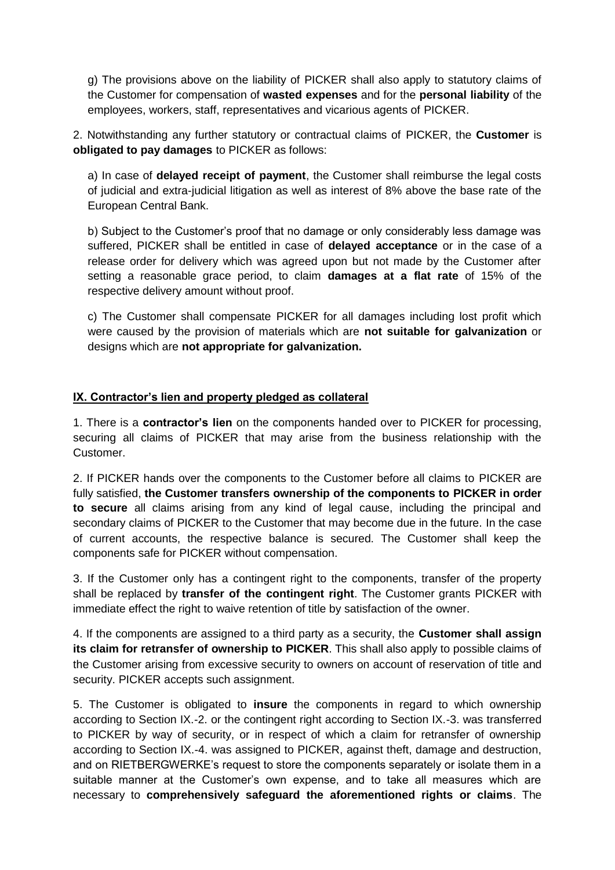g) The provisions above on the liability of PICKER shall also apply to statutory claims of the Customer for compensation of **wasted expenses** and for the **personal liability** of the employees, workers, staff, representatives and vicarious agents of PICKER.

2. Notwithstanding any further statutory or contractual claims of PICKER, the **Customer** is **obligated to pay damages** to PICKER as follows:

a) In case of **delayed receipt of payment**, the Customer shall reimburse the legal costs of judicial and extra-judicial litigation as well as interest of 8% above the base rate of the European Central Bank.

b) Subject to the Customer's proof that no damage or only considerably less damage was suffered, PICKER shall be entitled in case of **delayed acceptance** or in the case of a release order for delivery which was agreed upon but not made by the Customer after setting a reasonable grace period, to claim **damages at a flat rate** of 15% of the respective delivery amount without proof.

c) The Customer shall compensate PICKER for all damages including lost profit which were caused by the provision of materials which are **not suitable for galvanization** or designs which are **not appropriate for galvanization.**

## **IX. Contractor's lien and property pledged as collateral**

1. There is a **contractor's lien** on the components handed over to PICKER for processing, securing all claims of PICKER that may arise from the business relationship with the Customer.

2. If PICKER hands over the components to the Customer before all claims to PICKER are fully satisfied, **the Customer transfers ownership of the components to PICKER in order to secure** all claims arising from any kind of legal cause, including the principal and secondary claims of PICKER to the Customer that may become due in the future. In the case of current accounts, the respective balance is secured. The Customer shall keep the components safe for PICKER without compensation.

3. If the Customer only has a contingent right to the components, transfer of the property shall be replaced by **transfer of the contingent right**. The Customer grants PICKER with immediate effect the right to waive retention of title by satisfaction of the owner.

4. If the components are assigned to a third party as a security, the **Customer shall assign its claim for retransfer of ownership to PICKER**. This shall also apply to possible claims of the Customer arising from excessive security to owners on account of reservation of title and security. PICKER accepts such assignment.

5. The Customer is obligated to **insure** the components in regard to which ownership according to Section IX.-2. or the contingent right according to Section IX.-3. was transferred to PICKER by way of security, or in respect of which a claim for retransfer of ownership according to Section IX.-4. was assigned to PICKER, against theft, damage and destruction, and on RIETBERGWERKE's request to store the components separately or isolate them in a suitable manner at the Customer's own expense, and to take all measures which are necessary to **comprehensively safeguard the aforementioned rights or claims**. The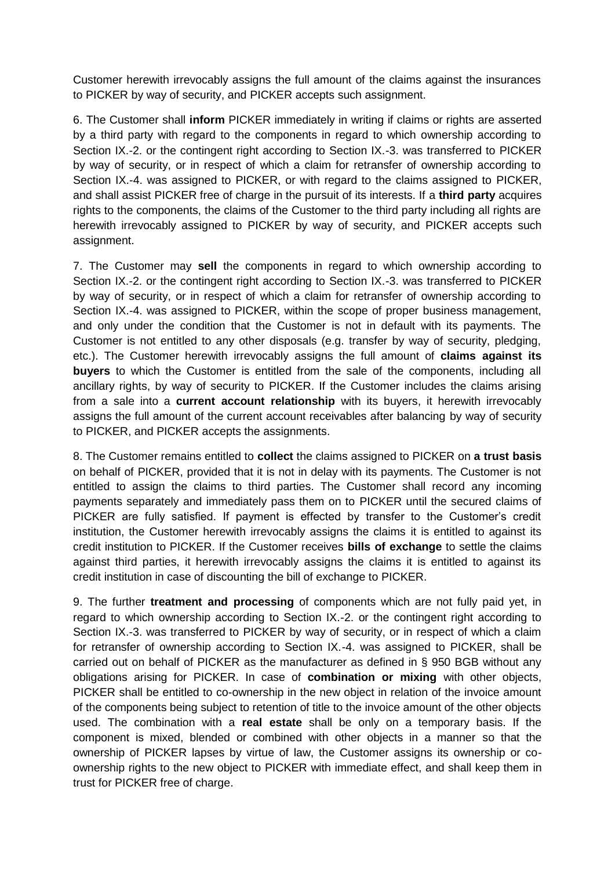Customer herewith irrevocably assigns the full amount of the claims against the insurances to PICKER by way of security, and PICKER accepts such assignment.

6. The Customer shall **inform** PICKER immediately in writing if claims or rights are asserted by a third party with regard to the components in regard to which ownership according to Section IX.-2. or the contingent right according to Section IX.-3. was transferred to PICKER by way of security, or in respect of which a claim for retransfer of ownership according to Section IX.-4. was assigned to PICKER, or with regard to the claims assigned to PICKER, and shall assist PICKER free of charge in the pursuit of its interests. If a **third party** acquires rights to the components, the claims of the Customer to the third party including all rights are herewith irrevocably assigned to PICKER by way of security, and PICKER accepts such assignment.

7. The Customer may **sell** the components in regard to which ownership according to Section IX.-2. or the contingent right according to Section IX.-3. was transferred to PICKER by way of security, or in respect of which a claim for retransfer of ownership according to Section IX.-4. was assigned to PICKER, within the scope of proper business management, and only under the condition that the Customer is not in default with its payments. The Customer is not entitled to any other disposals (e.g. transfer by way of security, pledging, etc.). The Customer herewith irrevocably assigns the full amount of **claims against its buyers** to which the Customer is entitled from the sale of the components, including all ancillary rights, by way of security to PICKER. If the Customer includes the claims arising from a sale into a **current account relationship** with its buyers, it herewith irrevocably assigns the full amount of the current account receivables after balancing by way of security to PICKER, and PICKER accepts the assignments.

8. The Customer remains entitled to **collect** the claims assigned to PICKER on **a trust basis** on behalf of PICKER, provided that it is not in delay with its payments. The Customer is not entitled to assign the claims to third parties. The Customer shall record any incoming payments separately and immediately pass them on to PICKER until the secured claims of PICKER are fully satisfied. If payment is effected by transfer to the Customer's credit institution, the Customer herewith irrevocably assigns the claims it is entitled to against its credit institution to PICKER. If the Customer receives **bills of exchange** to settle the claims against third parties, it herewith irrevocably assigns the claims it is entitled to against its credit institution in case of discounting the bill of exchange to PICKER.

9. The further **treatment and processing** of components which are not fully paid yet, in regard to which ownership according to Section IX.-2. or the contingent right according to Section IX.-3. was transferred to PICKER by way of security, or in respect of which a claim for retransfer of ownership according to Section IX.-4. was assigned to PICKER, shall be carried out on behalf of PICKER as the manufacturer as defined in § 950 BGB without any obligations arising for PICKER. In case of **combination or mixing** with other objects, PICKER shall be entitled to co-ownership in the new object in relation of the invoice amount of the components being subject to retention of title to the invoice amount of the other objects used. The combination with a **real estate** shall be only on a temporary basis. If the component is mixed, blended or combined with other objects in a manner so that the ownership of PICKER lapses by virtue of law, the Customer assigns its ownership or coownership rights to the new object to PICKER with immediate effect, and shall keep them in trust for PICKER free of charge.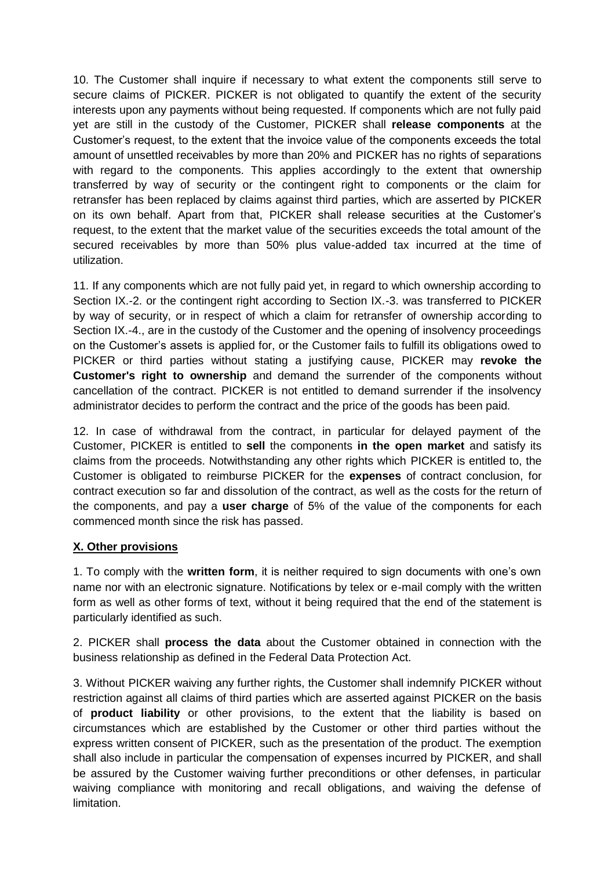10. The Customer shall inquire if necessary to what extent the components still serve to secure claims of PICKER. PICKER is not obligated to quantify the extent of the security interests upon any payments without being requested. If components which are not fully paid yet are still in the custody of the Customer, PICKER shall **release components** at the Customer's request, to the extent that the invoice value of the components exceeds the total amount of unsettled receivables by more than 20% and PICKER has no rights of separations with regard to the components. This applies accordingly to the extent that ownership transferred by way of security or the contingent right to components or the claim for retransfer has been replaced by claims against third parties, which are asserted by PICKER on its own behalf. Apart from that, PICKER shall release securities at the Customer's request, to the extent that the market value of the securities exceeds the total amount of the secured receivables by more than 50% plus value-added tax incurred at the time of utilization.

11. If any components which are not fully paid yet, in regard to which ownership according to Section IX.-2. or the contingent right according to Section IX.-3. was transferred to PICKER by way of security, or in respect of which a claim for retransfer of ownership according to Section IX.-4., are in the custody of the Customer and the opening of insolvency proceedings on the Customer's assets is applied for, or the Customer fails to fulfill its obligations owed to PICKER or third parties without stating a justifying cause, PICKER may **revoke the Customer's right to ownership** and demand the surrender of the components without cancellation of the contract. PICKER is not entitled to demand surrender if the insolvency administrator decides to perform the contract and the price of the goods has been paid.

12. In case of withdrawal from the contract, in particular for delayed payment of the Customer, PICKER is entitled to **sell** the components **in the open market** and satisfy its claims from the proceeds. Notwithstanding any other rights which PICKER is entitled to, the Customer is obligated to reimburse PICKER for the **expenses** of contract conclusion, for contract execution so far and dissolution of the contract, as well as the costs for the return of the components, and pay a **user charge** of 5% of the value of the components for each commenced month since the risk has passed.

### **X. Other provisions**

1. To comply with the **written form**, it is neither required to sign documents with one's own name nor with an electronic signature. Notifications by telex or e-mail comply with the written form as well as other forms of text, without it being required that the end of the statement is particularly identified as such.

2. PICKER shall **process the data** about the Customer obtained in connection with the business relationship as defined in the Federal Data Protection Act.

3. Without PICKER waiving any further rights, the Customer shall indemnify PICKER without restriction against all claims of third parties which are asserted against PICKER on the basis of **product liability** or other provisions, to the extent that the liability is based on circumstances which are established by the Customer or other third parties without the express written consent of PICKER, such as the presentation of the product. The exemption shall also include in particular the compensation of expenses incurred by PICKER, and shall be assured by the Customer waiving further preconditions or other defenses, in particular waiving compliance with monitoring and recall obligations, and waiving the defense of limitation.